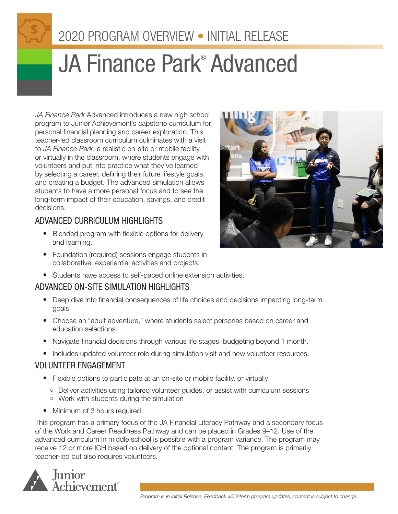# 2020 PROGRAM OVERVIEW • INITIAL RELEASE

# JA Finance Park<sup>®</sup> Advanced

*JA Finance Park* Advanced introduces a new high school program to Junior Achievement's capstone curriculum for personal financial planning and career exploration. This teacher-led classroom curriculum culminates with a visit to *JA Finance Park*, a realistic on-site or mobile facility, or virtually in the classroom, where students engage with volunteers and put into practice what they've learned by selecting a career, defining their future lifestyle goals, and creating a budget. The advanced simulation allows students to have a more personal focus and to see the long-term impact of their education, savings, and credit decisions.

### ADVANCED CURRICULUM HIGHLIGHTS

- Blended program with flexible options for delivery and learning.
- Foundation (required) sessions engage students in collaborative, experiential activities and projects.
- Students have access to self-paced online extension activities.

## ADVANCED ON-SITE SIMULATION HIGHLIGHTS

- Deep dive into financial consequences of life choices and decisions impacting long-term goals.
- Choose an "adult adventure," where students select personas based on career and education selections.
- Navigate financial decisions through various life stages, budgeting beyond 1 month.
- Includes updated volunteer role during simulation visit and new volunteer resources.

#### VOLUNTEER ENGAGEMENT

- Flexible options to participate at an on-site or mobile facility, or virtually:
	- Deliver activities using tailored volunteer guides, or assist with curriculum sessions
	- Work with students during the simulation
- Minimum of 3 hours required

This program has a primary focus of the JA Financial Literacy Pathway and a secondary focus of the Work and Career Readiness Pathway and can be placed in Grades 9–12. Use of the advanced curriculum in middle school is possible with a program variance. The program may receive 12 or more ICH based on delivery of the optional content. The program is primarily teacher-led but also requires volunteers.



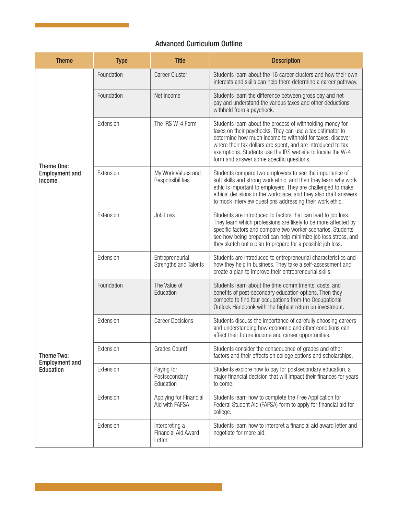#### Advanced Curriculum Outline

| <b>Theme</b>                                            | <b>Type</b> | <b>Title</b>                                    | <b>Description</b>                                                                                                                                                                                                                                                                                                                                            |
|---------------------------------------------------------|-------------|-------------------------------------------------|---------------------------------------------------------------------------------------------------------------------------------------------------------------------------------------------------------------------------------------------------------------------------------------------------------------------------------------------------------------|
| Theme One:<br><b>Employment and</b><br>Income           | Foundation  | <b>Career Cluster</b>                           | Students learn about the 16 career clusters and how their own<br>interests and skills can help them determine a career pathway.                                                                                                                                                                                                                               |
|                                                         | Foundation  | Net Income                                      | Students learn the difference between gross pay and net<br>pay and understand the various taxes and other deductions<br>withheld from a paycheck.                                                                                                                                                                                                             |
|                                                         | Extension   | The IRS W-4 Form                                | Students learn about the process of withholding money for<br>taxes on their paychecks. They can use a tax estimator to<br>determine how much income to withhold for taxes, discover<br>where their tax dollars are spent, and are introduced to tax<br>exemptions. Students use the IRS website to locate the W-4<br>form and answer some specific questions. |
|                                                         | Extension   | My Work Values and<br>Responsibilities          | Students compare two employees to see the importance of<br>soft skills and strong work ethic, and then they learn why work<br>ethic is important to employers. They are challenged to make<br>ethical decisions in the workplace, and they also draft answers<br>to mock interview questions addressing their work ethic.                                     |
|                                                         | Extension   | Job Loss                                        | Students are introduced to factors that can lead to job loss.<br>They learn which professions are likely to be more affected by<br>specific factors and compare two worker scenarios. Students<br>see how being prepared can help minimize job loss stress, and<br>they sketch out a plan to prepare for a possible job loss.                                 |
|                                                         | Extension   | Entrepreneurial<br>Strengths and Talents        | Students are introduced to entrepreneurial characteristics and<br>how they help in business. They take a self-assessment and<br>create a plan to improve their entrepreneurial skills.                                                                                                                                                                        |
| Theme Two:<br><b>Employment and</b><br><b>Education</b> | Foundation  | The Value of<br>Education                       | Students learn about the time commitments, costs, and<br>benefits of post-secondary education options. Then they<br>compete to find four occupations from the Occupational<br>Outlook Handbook with the highest return on investment.                                                                                                                         |
|                                                         | Extension   | <b>Career Decisions</b>                         | Students discuss the importance of carefully choosing careers<br>and understanding how economic and other conditions can<br>affect their future income and career opportunities.                                                                                                                                                                              |
|                                                         | Extension   | Grades Count!                                   | Students consider the consequence of grades and other<br>factors and their effects on college options and scholarships.                                                                                                                                                                                                                                       |
|                                                         | Extension   | Paying for<br>Postsecondary<br>Education        | Students explore how to pay for postsecondary education, a<br>major financial decision that will impact their finances for years<br>to come.                                                                                                                                                                                                                  |
|                                                         | Extension   | Applying for Financial<br>Aid with FAFSA        | Students learn how to complete the Free Application for<br>Federal Student Aid (FAFSA) form to apply for financial aid for<br>college.                                                                                                                                                                                                                        |
|                                                         | Extension   | Interpreting a<br>Financial Aid Award<br>Letter | Students learn how to interpret a financial aid award letter and<br>negotiate for more aid.                                                                                                                                                                                                                                                                   |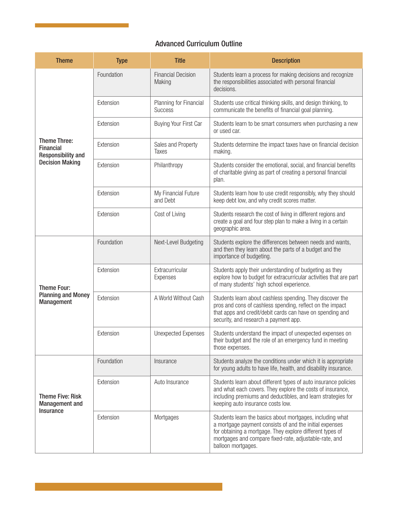#### Advanced Curriculum Outline

| <b>Theme</b>                                                                                   | <b>Type</b> | <b>Title</b>                             | <b>Description</b>                                                                                                                                                                                                                                                |
|------------------------------------------------------------------------------------------------|-------------|------------------------------------------|-------------------------------------------------------------------------------------------------------------------------------------------------------------------------------------------------------------------------------------------------------------------|
| <b>Theme Three:</b><br><b>Financial</b><br><b>Responsibility and</b><br><b>Decision Making</b> | Foundation  | <b>Financial Decision</b><br>Making      | Students learn a process for making decisions and recognize<br>the responsibilities associated with personal financial<br>decisions.                                                                                                                              |
|                                                                                                | Extension   | Planning for Financial<br><b>Success</b> | Students use critical thinking skills, and design thinking, to<br>communicate the benefits of financial goal planning.                                                                                                                                            |
|                                                                                                | Extension   | Buying Your First Car                    | Students learn to be smart consumers when purchasing a new<br>or used car.                                                                                                                                                                                        |
|                                                                                                | Extension   | Sales and Property<br>Taxes              | Students determine the impact taxes have on financial decision<br>making.                                                                                                                                                                                         |
|                                                                                                | Extension   | Philanthropy                             | Students consider the emotional, social, and financial benefits<br>of charitable giving as part of creating a personal financial<br>plan.                                                                                                                         |
|                                                                                                | Extension   | My Financial Future<br>and Debt          | Students learn how to use credit responsibly, why they should<br>keep debt low, and why credit scores matter.                                                                                                                                                     |
|                                                                                                | Extension   | Cost of Living                           | Students research the cost of living in different regions and<br>create a goal and four step plan to make a living in a certain<br>geographic area.                                                                                                               |
| <b>Theme Four:</b><br><b>Planning and Money</b><br>Management                                  | Foundation  | Next-Level Budgeting                     | Students explore the differences between needs and wants,<br>and then they learn about the parts of a budget and the<br>importance of budgeting.                                                                                                                  |
|                                                                                                | Extension   | Extracurricular<br>Expenses              | Students apply their understanding of budgeting as they<br>explore how to budget for extracurricular activities that are part<br>of many students' high school experience.                                                                                        |
|                                                                                                | Extension   | A World Without Cash                     | Students learn about cashless spending. They discover the<br>pros and cons of cashless spending, reflect on the impact<br>that apps and credit/debit cards can have on spending and<br>security, and research a payment app.                                      |
|                                                                                                | Extension   | <b>Unexpected Expenses</b>               | Students understand the impact of unexpected expenses on<br>their budget and the role of an emergency fund in meeting<br>those expenses.                                                                                                                          |
| <b>Theme Five: Risk</b><br><b>Management and</b><br><b>Insurance</b>                           | Foundation  | Insurance                                | Students analyze the conditions under which it is appropriate<br>for young adults to have life, health, and disability insurance.                                                                                                                                 |
|                                                                                                | Extension   | Auto Insurance                           | Students learn about different types of auto insurance policies<br>and what each covers. They explore the costs of insurance,<br>including premiums and deductibles, and learn strategies for<br>keeping auto insurance costs low.                                |
|                                                                                                | Extension   | Mortgages                                | Students learn the basics about mortgages, including what<br>a mortgage payment consists of and the initial expenses<br>for obtaining a mortgage. They explore different types of<br>mortgages and compare fixed-rate, adjustable-rate, and<br>balloon mortgages. |

a sa kacamatan ing Kabupatèn Kabupatèn Kabupatèn Kabupatèn Kabupatèn Kabupatèn Kabupatèn Kabupatèn Kabupatèn K